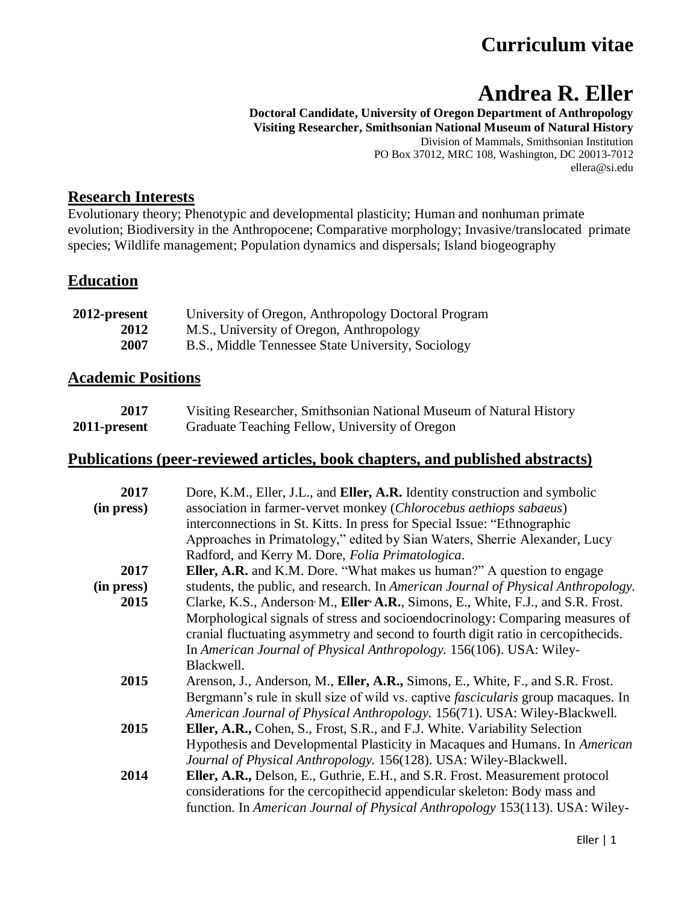## **Curriculum vitae**

# **Andrea R. Eller**

**Doctoral Candidate, University of Oregon Department of Anthropology Visiting Researcher, Smithsonian National Museum of Natural History** Division of Mammals, Smithsonian Institution PO Box 37012, MRC 108, Washington, DC 20013-7012 ellera@si.edu

#### **Research Interests**

Evolutionary theory; Phenotypic and developmental plasticity; Human and nonhuman primate evolution; Biodiversity in the Anthropocene; Comparative morphology; Invasive/translocated primate species; Wildlife management; Population dynamics and dispersals; Island biogeography

#### **Education**

| 2012-present | University of Oregon, Anthropology Doctoral Program |
|--------------|-----------------------------------------------------|
| 2012         | M.S., University of Oregon, Anthropology            |
| 2007         | B.S., Middle Tennessee State University, Sociology  |

#### **Academic Positions**

| <b>2017</b>  | Visiting Researcher, Smithsonian National Museum of Natural History |
|--------------|---------------------------------------------------------------------|
| 2011-present | Graduate Teaching Fellow, University of Oregon                      |

#### **Publications (peer-reviewed articles, book chapters, and published abstracts)**

| 2017       | Dore, K.M., Eller, J.L., and <b>Eller, A.R.</b> Identity construction and symbolic        |
|------------|-------------------------------------------------------------------------------------------|
| (in press) | association in farmer-vervet monkey (Chlorocebus aethiops sabaeus)                        |
|            | interconnections in St. Kitts. In press for Special Issue: "Ethnographic                  |
|            | Approaches in Primatology," edited by Sian Waters, Sherrie Alexander, Lucy                |
|            | Radford, and Kerry M. Dore, <i>Folia Primatologica</i> .                                  |
| 2017       | <b>Eller, A.R.</b> and K.M. Dore. "What makes us human?" A question to engage             |
| (in press) | students, the public, and research. In <i>American Journal of Physical Anthropology</i> . |
| 2015       | Clarke, K.S., Anderson M., Eller A.R., Simons, E., White, F.J., and S.R. Frost.           |
|            | Morphological signals of stress and socioendocrinology: Comparing measures of             |
|            | cranial fluctuating asymmetry and second to fourth digit ratio in cercopithecids.         |
|            | In American Journal of Physical Anthropology. 156(106). USA: Wiley-                       |
|            | Blackwell.                                                                                |
| 2015       | Arenson, J., Anderson, M., Eller, A.R., Simons, E., White, F., and S.R. Frost.            |
|            | Bergmann's rule in skull size of wild vs. captive <i>fascicularis</i> group macaques. In  |
|            | American Journal of Physical Anthropology. 156(71). USA: Wiley-Blackwell.                 |
| 2015       | Eller, A.R., Cohen, S., Frost, S.R., and F.J. White. Variability Selection                |
|            | Hypothesis and Developmental Plasticity in Macaques and Humans. In American               |
|            | Journal of Physical Anthropology. 156(128). USA: Wiley-Blackwell.                         |
| 2014       | Eller, A.R., Delson, E., Guthrie, E.H., and S.R. Frost. Measurement protocol              |
|            | considerations for the cercopithecid appendicular skeleton: Body mass and                 |
|            |                                                                                           |
|            | function. In American Journal of Physical Anthropology 153(113). USA: Wiley-              |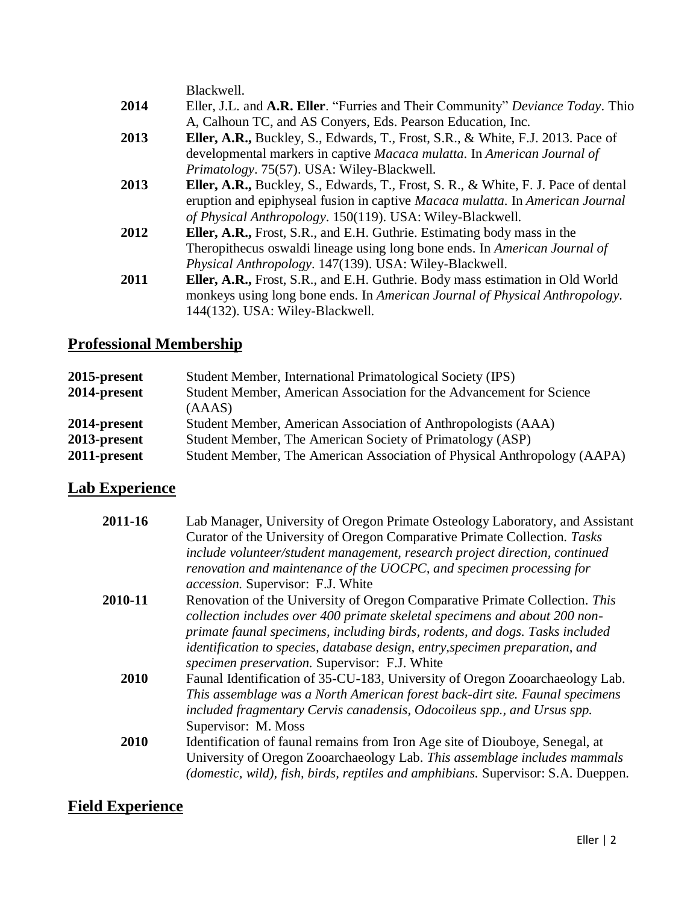|      | Blackwell.                                                                                    |
|------|-----------------------------------------------------------------------------------------------|
| 2014 | Eller, J.L. and A.R. Eller. "Furries and Their Community" Deviance Today. Thio                |
|      | A, Calhoun TC, and AS Conyers, Eds. Pearson Education, Inc.                                   |
| 2013 | Eller, A.R., Buckley, S., Edwards, T., Frost, S.R., & White, F.J. 2013. Pace of               |
|      | developmental markers in captive Macaca mulatta. In American Journal of                       |
|      | Primatology. 75(57). USA: Wiley-Blackwell.                                                    |
| 2013 | <b>Eller, A.R., Buckley, S., Edwards, T., Frost, S. R., &amp; White, F. J. Pace of dental</b> |
|      | eruption and epiphyseal fusion in captive Macaca mulatta. In American Journal                 |
|      | of Physical Anthropology. 150(119). USA: Wiley-Blackwell.                                     |
| 2012 | <b>Eller, A.R., Frost, S.R., and E.H. Guthrie. Estimating body mass in the</b>                |
|      | Theropithecus oswaldi lineage using long bone ends. In American Journal of                    |
|      | Physical Anthropology. 147(139). USA: Wiley-Blackwell.                                        |
| 2011 | Eller, A.R., Frost, S.R., and E.H. Guthrie. Body mass estimation in Old World                 |
|      | monkeys using long bone ends. In American Journal of Physical Anthropology.                   |
|      | 144(132). USA: Wiley-Blackwell.                                                               |

## **Professional Membership**

| 2015-present | Student Member, International Primatological Society (IPS)               |
|--------------|--------------------------------------------------------------------------|
| 2014-present | Student Member, American Association for the Advancement for Science     |
|              | (AAAS)                                                                   |
| 2014-present | Student Member, American Association of Anthropologists (AAA)            |
| 2013-present | Student Member, The American Society of Primatology (ASP)                |
| 2011-present | Student Member, The American Association of Physical Anthropology (AAPA) |

#### **Lab Experience**

| 2011-16 | Lab Manager, University of Oregon Primate Osteology Laboratory, and Assistant     |
|---------|-----------------------------------------------------------------------------------|
|         | Curator of the University of Oregon Comparative Primate Collection. Tasks         |
|         | include volunteer/student management, research project direction, continued       |
|         | renovation and maintenance of the UOCPC, and specimen processing for              |
|         | accession. Supervisor: F.J. White                                                 |
| 2010-11 | Renovation of the University of Oregon Comparative Primate Collection. This       |
|         | collection includes over 400 primate skeletal specimens and about 200 non-        |
|         | primate faunal specimens, including birds, rodents, and dogs. Tasks included      |
|         | identification to species, database design, entry, specimen preparation, and      |
|         | specimen preservation. Supervisor: F.J. White                                     |
| 2010    | Faunal Identification of 35-CU-183, University of Oregon Zooarchaeology Lab.      |
|         | This assemblage was a North American forest back-dirt site. Faunal specimens      |
|         | included fragmentary Cervis canadensis, Odocoileus spp., and Ursus spp.           |
|         | Supervisor: M. Moss                                                               |
| 2010    | Identification of faunal remains from Iron Age site of Diouboye, Senegal, at      |
|         | University of Oregon Zooarchaeology Lab. This assemblage includes mammals         |
|         | (domestic, wild), fish, birds, reptiles and amphibians. Supervisor: S.A. Dueppen. |
|         |                                                                                   |

### **Field Experience**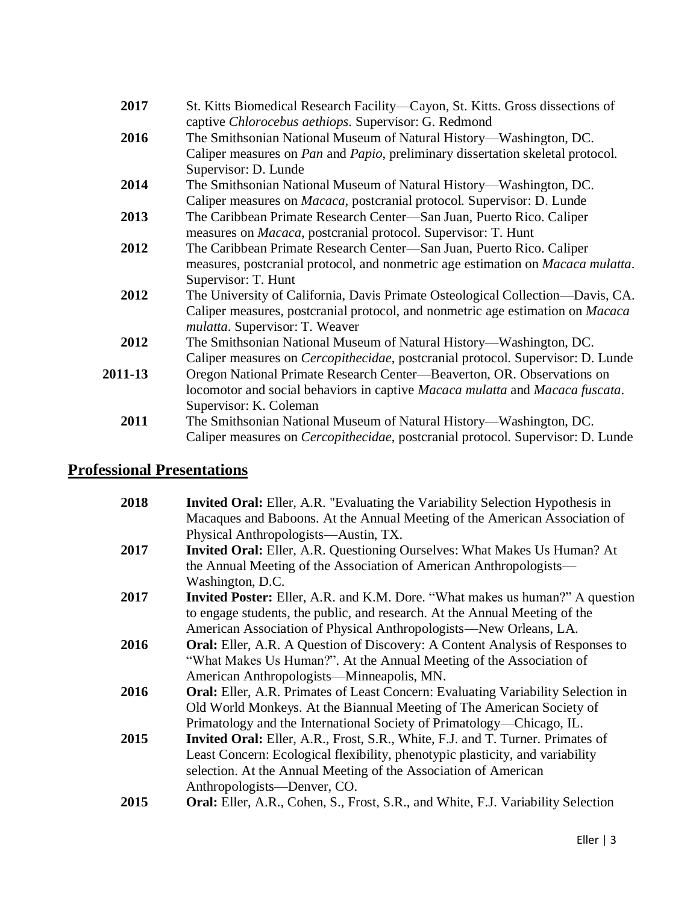| 2017    | St. Kitts Biomedical Research Facility—Cayon, St. Kitts. Gross dissections of<br>captive Chlorocebus aethiops. Supervisor: G. Redmond                                                                     |
|---------|-----------------------------------------------------------------------------------------------------------------------------------------------------------------------------------------------------------|
| 2016    | The Smithsonian National Museum of Natural History—Washington, DC.<br>Caliper measures on Pan and Papio, preliminary dissertation skeletal protocol.<br>Supervisor: D. Lunde                              |
| 2014    | The Smithsonian National Museum of Natural History—Washington, DC.<br>Caliper measures on <i>Macaca</i> , postcranial protocol. Supervisor: D. Lunde                                                      |
| 2013    | The Caribbean Primate Research Center—San Juan, Puerto Rico. Caliper<br>measures on <i>Macaca</i> , postcranial protocol. Supervisor: T. Hunt                                                             |
| 2012    | The Caribbean Primate Research Center—San Juan, Puerto Rico. Caliper<br>measures, postcranial protocol, and nonmetric age estimation on Macaca mulatta.<br>Supervisor: T. Hunt                            |
| 2012    | The University of California, Davis Primate Osteological Collection—Davis, CA.<br>Caliper measures, postcranial protocol, and nonmetric age estimation on Macaca<br><i>mulatta.</i> Supervisor: T. Weaver |
| 2012    | The Smithsonian National Museum of Natural History—Washington, DC.<br>Caliper measures on <i>Cercopithecidae</i> , postcranial protocol. Supervisor: D. Lunde                                             |
| 2011-13 | Oregon National Primate Research Center-Beaverton, OR. Observations on<br>locomotor and social behaviors in captive Macaca mulatta and Macaca fuscata.<br>Supervisor: K. Coleman                          |
| 2011    | The Smithsonian National Museum of Natural History—Washington, DC.<br>Caliper measures on Cercopithecidae, postcranial protocol. Supervisor: D. Lunde                                                     |

## **Professional Presentations**

| 2018 | <b>Invited Oral:</b> Eller, A.R. "Evaluating the Variability Selection Hypothesis in    |
|------|-----------------------------------------------------------------------------------------|
|      | Macaques and Baboons. At the Annual Meeting of the American Association of              |
|      | Physical Anthropologists—Austin, TX.                                                    |
| 2017 | <b>Invited Oral:</b> Eller, A.R. Questioning Ourselves: What Makes Us Human? At         |
|      | the Annual Meeting of the Association of American Anthropologists—                      |
|      | Washington, D.C.                                                                        |
| 2017 | <b>Invited Poster:</b> Eller, A.R. and K.M. Dore. "What makes us human?" A question     |
|      | to engage students, the public, and research. At the Annual Meeting of the              |
|      | American Association of Physical Anthropologists—New Orleans, LA.                       |
| 2016 | <b>Oral:</b> Eller, A.R. A Question of Discovery: A Content Analysis of Responses to    |
|      | "What Makes Us Human?". At the Annual Meeting of the Association of                     |
|      | American Anthropologists—Minneapolis, MN.                                               |
| 2016 | Oral: Eller, A.R. Primates of Least Concern: Evaluating Variability Selection in        |
|      | Old World Monkeys. At the Biannual Meeting of The American Society of                   |
|      | Primatology and the International Society of Primatology-Chicago, IL.                   |
| 2015 | Invited Oral: Eller, A.R., Frost, S.R., White, F.J. and T. Turner. Primates of          |
|      | Least Concern: Ecological flexibility, phenotypic plasticity, and variability           |
|      | selection. At the Annual Meeting of the Association of American                         |
|      | Anthropologists—Denver, CO.                                                             |
| 2015 | <b>Oral:</b> Eller, A.R., Cohen, S., Frost, S.R., and White, F.J. Variability Selection |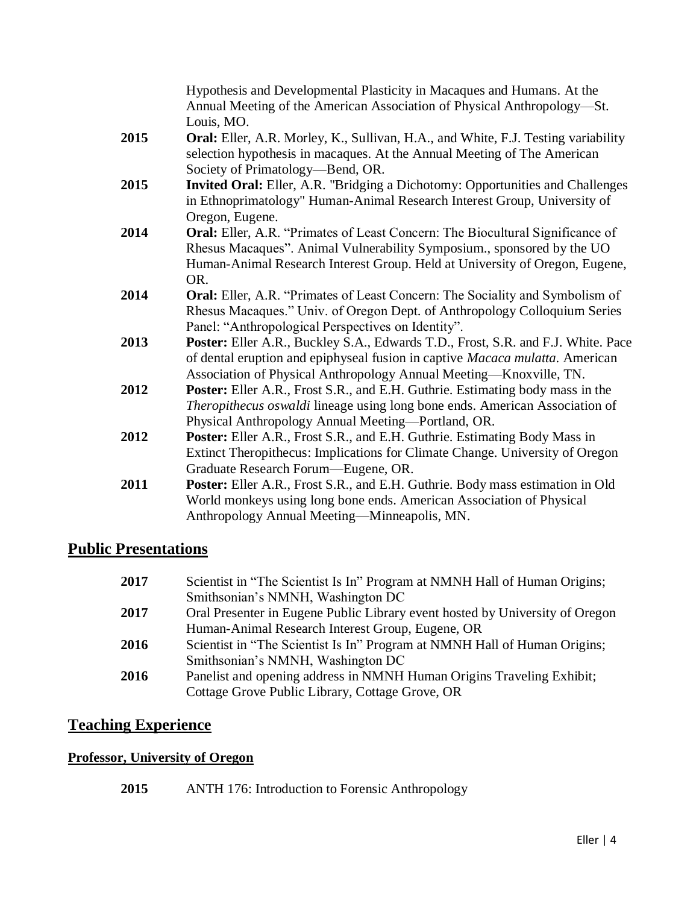|      | Hypothesis and Developmental Plasticity in Macaques and Humans. At the<br>Annual Meeting of the American Association of Physical Anthropology-St.<br>Louis, MO.                                                                                      |
|------|------------------------------------------------------------------------------------------------------------------------------------------------------------------------------------------------------------------------------------------------------|
| 2015 | Oral: Eller, A.R. Morley, K., Sullivan, H.A., and White, F.J. Testing variability<br>selection hypothesis in macaques. At the Annual Meeting of The American<br>Society of Primatology-Bend, OR.                                                     |
| 2015 | Invited Oral: Eller, A.R. "Bridging a Dichotomy: Opportunities and Challenges<br>in Ethnoprimatology" Human-Animal Research Interest Group, University of<br>Oregon, Eugene.                                                                         |
| 2014 | <b>Oral:</b> Eller, A.R. "Primates of Least Concern: The Biocultural Significance of<br>Rhesus Macaques". Animal Vulnerability Symposium., sponsored by the UO<br>Human-Animal Research Interest Group. Held at University of Oregon, Eugene,<br>OR. |
| 2014 | <b>Oral:</b> Eller, A.R. "Primates of Least Concern: The Sociality and Symbolism of<br>Rhesus Macaques." Univ. of Oregon Dept. of Anthropology Colloquium Series<br>Panel: "Anthropological Perspectives on Identity".                               |
| 2013 | Poster: Eller A.R., Buckley S.A., Edwards T.D., Frost, S.R. and F.J. White. Pace<br>of dental eruption and epiphyseal fusion in captive Macaca mulatta. American<br>Association of Physical Anthropology Annual Meeting-Knoxville, TN.               |
| 2012 | <b>Poster:</b> Eller A.R., Frost S.R., and E.H. Guthrie. Estimating body mass in the<br>Theropithecus oswaldi lineage using long bone ends. American Association of<br>Physical Anthropology Annual Meeting-Portland, OR.                            |
| 2012 | <b>Poster:</b> Eller A.R., Frost S.R., and E.H. Guthrie. Estimating Body Mass in<br>Extinct Theropithecus: Implications for Climate Change. University of Oregon<br>Graduate Research Forum—Eugene, OR.                                              |
| 2011 | Poster: Eller A.R., Frost S.R., and E.H. Guthrie. Body mass estimation in Old<br>World monkeys using long bone ends. American Association of Physical<br>Anthropology Annual Meeting-Minneapolis, MN.                                                |

## **Public Presentations**

| 2017 | Scientist in "The Scientist Is In" Program at NMNH Hall of Human Origins;    |
|------|------------------------------------------------------------------------------|
|      | Smithsonian's NMNH, Washington DC                                            |
| 2017 | Oral Presenter in Eugene Public Library event hosted by University of Oregon |
|      | Human-Animal Research Interest Group, Eugene, OR                             |
| 2016 | Scientist in "The Scientist Is In" Program at NMNH Hall of Human Origins;    |
|      | Smithsonian's NMNH, Washington DC                                            |
| 2016 | Panelist and opening address in NMNH Human Origins Traveling Exhibit;        |
|      | Cottage Grove Public Library, Cottage Grove, OR                              |

## **Teaching Experience**

#### **Professor, University of Oregon**

**2015** ANTH 176: Introduction to Forensic Anthropology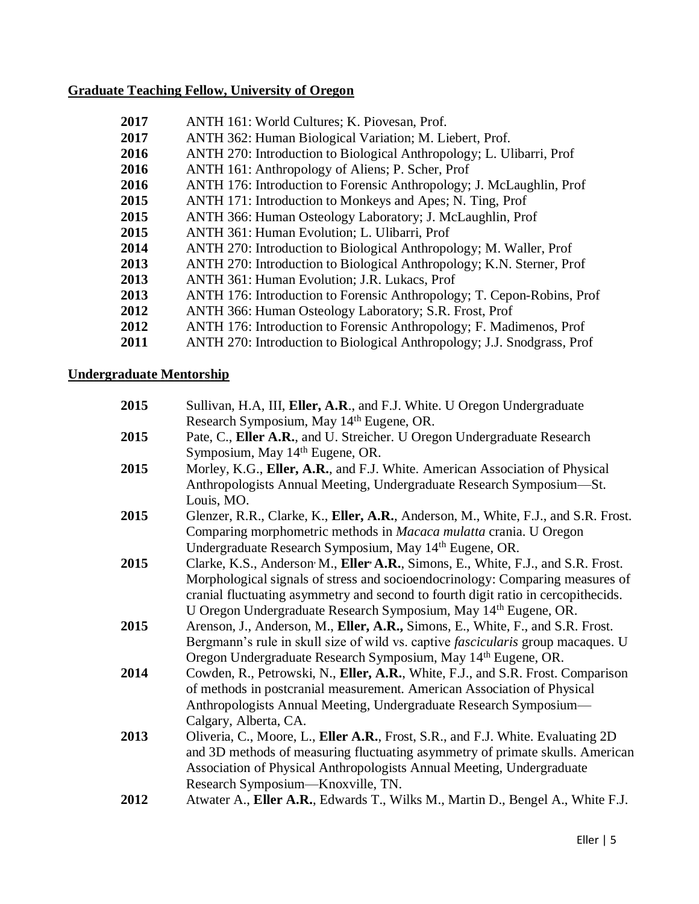#### **Graduate Teaching Fellow, University of Oregon**

| ANTH 362: Human Biological Variation; M. Liebert, Prof.                 |
|-------------------------------------------------------------------------|
| ANTH 270: Introduction to Biological Anthropology; L. Ulibarri, Prof    |
|                                                                         |
| ANTH 176: Introduction to Forensic Anthropology; J. McLaughlin, Prof    |
| ANTH 171: Introduction to Monkeys and Apes; N. Ting, Prof               |
| ANTH 366: Human Osteology Laboratory; J. McLaughlin, Prof               |
|                                                                         |
| ANTH 270: Introduction to Biological Anthropology; M. Waller, Prof      |
| ANTH 270: Introduction to Biological Anthropology; K.N. Sterner, Prof   |
|                                                                         |
| ANTH 176: Introduction to Forensic Anthropology; T. Cepon-Robins, Prof  |
| ANTH 366: Human Osteology Laboratory; S.R. Frost, Prof                  |
| ANTH 176: Introduction to Forensic Anthropology; F. Madimenos, Prof     |
| ANTH 270: Introduction to Biological Anthropology; J.J. Snodgrass, Prof |
|                                                                         |

#### **Undergraduate Mentorship**

| 2015 | Sullivan, H.A, III, Eller, A.R., and F.J. White. U Oregon Undergraduate                                                                                                                                                                                                        |
|------|--------------------------------------------------------------------------------------------------------------------------------------------------------------------------------------------------------------------------------------------------------------------------------|
|      | Research Symposium, May 14th Eugene, OR.                                                                                                                                                                                                                                       |
| 2015 | Pate, C., Eller A.R., and U. Streicher. U Oregon Undergraduate Research                                                                                                                                                                                                        |
|      | Symposium, May 14th Eugene, OR.                                                                                                                                                                                                                                                |
| 2015 | Morley, K.G., Eller, A.R., and F.J. White. American Association of Physical<br>Anthropologists Annual Meeting, Undergraduate Research Symposium-St.<br>Louis, MO.                                                                                                              |
| 2015 | Glenzer, R.R., Clarke, K., Eller, A.R., Anderson, M., White, F.J., and S.R. Frost.                                                                                                                                                                                             |
|      | Comparing morphometric methods in Macaca mulatta crania. U Oregon                                                                                                                                                                                                              |
|      | Undergraduate Research Symposium, May 14 <sup>th</sup> Eugene, OR.                                                                                                                                                                                                             |
| 2015 | Clarke, K.S., Anderson M., Eller A.R., Simons, E., White, F.J., and S.R. Frost.                                                                                                                                                                                                |
|      | Morphological signals of stress and socioendocrinology: Comparing measures of<br>cranial fluctuating asymmetry and second to fourth digit ratio in cercopithecids.                                                                                                             |
|      | U Oregon Undergraduate Research Symposium, May 14th Eugene, OR.                                                                                                                                                                                                                |
| 2015 | Arenson, J., Anderson, M., Eller, A.R., Simons, E., White, F., and S.R. Frost.                                                                                                                                                                                                 |
|      | Bergmann's rule in skull size of wild vs. captive <i>fascicularis</i> group macaques. U                                                                                                                                                                                        |
|      | Oregon Undergraduate Research Symposium, May 14th Eugene, OR.                                                                                                                                                                                                                  |
| 2014 | Cowden, R., Petrowski, N., Eller, A.R., White, F.J., and S.R. Frost. Comparison<br>of methods in postcranial measurement. American Association of Physical                                                                                                                     |
|      | Anthropologists Annual Meeting, Undergraduate Research Symposium-                                                                                                                                                                                                              |
|      | Calgary, Alberta, CA.                                                                                                                                                                                                                                                          |
| 2013 | Oliveria, C., Moore, L., Eller A.R., Frost, S.R., and F.J. White. Evaluating 2D<br>and 3D methods of measuring fluctuating asymmetry of primate skulls. American<br>Association of Physical Anthropologists Annual Meeting, Undergraduate<br>Research Symposium—Knoxville, TN. |
| 2012 | Atwater A., Eller A.R., Edwards T., Wilks M., Martin D., Bengel A., White F.J.                                                                                                                                                                                                 |
|      |                                                                                                                                                                                                                                                                                |